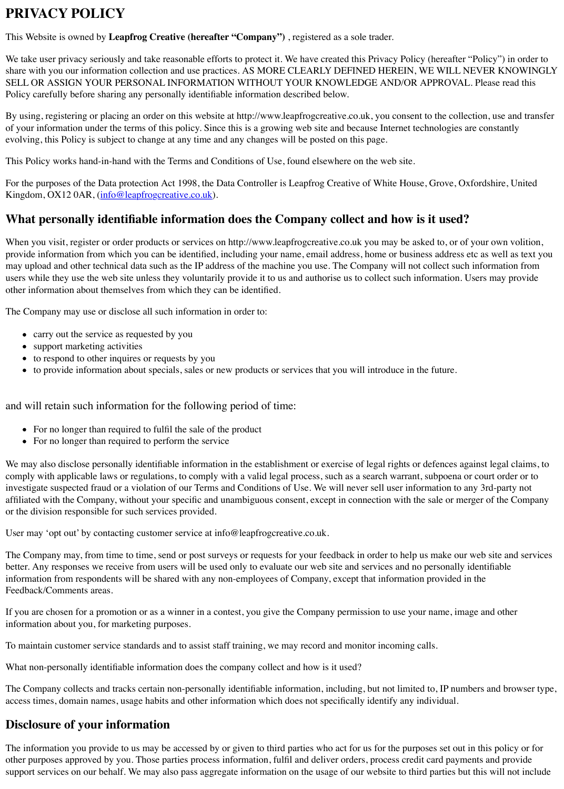When you visit, register or order products or services on http://www.leapfrogcreative.co.uk you may be asked to, or of the to, or of the to, or of the to, or of the to, or of to, or of to, or or of to, or of to, or of to, provide information from which you can be identified, including your name, email address, home or busines may upload and other technical data such as the IP address of the machine you use. The Company will not c users while they use the web site unless they voluntarily provide it to us and authorise us to collect such information. Users may provide it to us and authorise us to collect such information. Users may be used in the wea other information about themselves from which they can be identified.

The Company may use or disclose all such information in order to:

- carry out the service as requested by you
- support marketing activities
- to respond to other inquires or requests by you
- to provide information about specials, sales or new products or services that you will introduce in the

and will retain such information for the following period of time:

- For no longer th[an required to fulfil the sale of](mailto:info@leapfrogcreative.co.uk) the product
- For no longer than required to perform the service

We may also disclose personally identifiable information in the establishment or exercise of legal rights or d comply with applicable laws or regulations, to comply with a valid legal process, such as a search warrant, s investigate suspected fraud or a violation of our Terms and Conditions of Use. We will never sell user inform affiliated with the Company, without your specific and unambiguous consent, except in connection with the or the division responsible for such services provided.

User may 'opt out' by contacting customer service at info@leapfrogcreative.co.uk.

The Company may, from time to time, send or post surveys or requests for your feedback in order to help us better. Any responses we receive from users will be used only to evaluate our web site and services and no per information from respondents will be shared with any non-employees of Company, except that information Feedback/Comments areas.

If you are chosen for a promotion or as a winner in a contest, you give the Company permission to use your information about you, for marketing purposes.

To maintain customer service standards and to assist staff training, we may record and monitor incoming call

What non-personally identifiable information does the company collect and how is it used?

The Company collects and tracks certain non-personally identifiable information, including, but not limited access times, domain names, usage habits and other information which does not specifically identify any individual.

# **Disclosure of your information**

The information you provide to us may be accessed by or given to third parties who act for us for the purpose other purposes approved by you. Those parties process information, fulfil and deliver orders, process credit support services on our behalf. We may also pass aggregate information on the usage of our website to third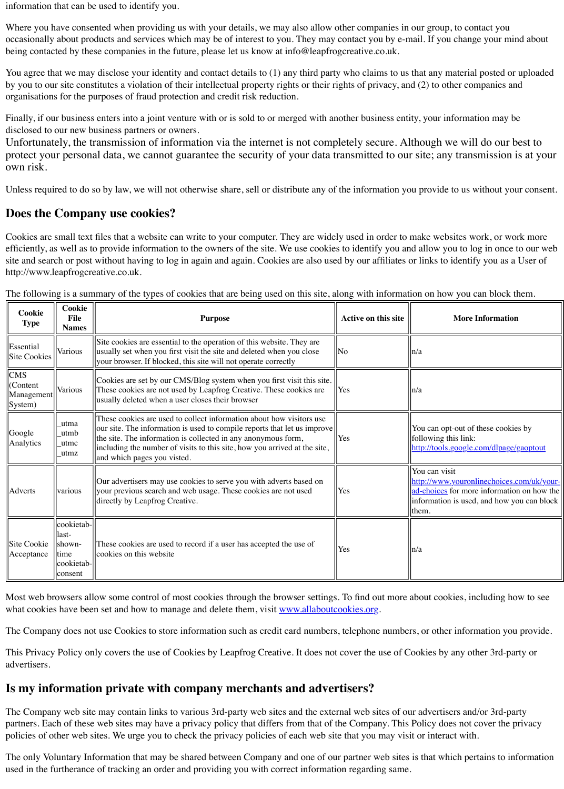Cookies are small text files that a website can write to your computer. They are widely used in order to make websites work, or work more efficiently, as well as to provide information to the owners of the site. We use cookies to identify you and all site and search or post without having to log in again and again. Cookies are also used by our affiliates or lin http://www.leapfrogcreative.co.uk.

| <b>Cookie</b><br><b>Type</b>                        | <b>Cookie</b><br><b>File</b><br><b>Names</b>                      | <b>Purpose</b>                                                                                                                                                                                                                                                                                                                | <b>Active on this site</b> |                                        |
|-----------------------------------------------------|-------------------------------------------------------------------|-------------------------------------------------------------------------------------------------------------------------------------------------------------------------------------------------------------------------------------------------------------------------------------------------------------------------------|----------------------------|----------------------------------------|
| Essential<br>Site Cookies                           | Various                                                           | Site cookies are essential to the operation of this website. They are<br>usually set when you first visit the site and deleted when you close<br>your browser. If blocked, this site will not operate correctly                                                                                                               | No                         | $\ln/a$                                |
| <b>CMS</b><br>$ $ (Content<br>Management<br>System) | Various                                                           | Cookies are set by our CMS/Blog system when you first visit this site.<br>These cookies are not used by Leapfrog Creative. These cookies are<br>usually deleted when a user closes their browser                                                                                                                              | Yes                        | $\ln/a$                                |
| Google<br>Analytics                                 | utma<br>utmb<br>utmc<br>utmz                                      | These cookies are used to collect information about how visitors use<br>our site. The information is used to compile reports that let us improve<br>the site. The information is collected in any anonymous form,<br>including the number of visits to this site, how you arrived at the site,<br>and which pages you visted. | Yes                        | You<br>follo<br>http:                  |
| Adverts                                             | various                                                           | Our advertisers may use cookies to serve you with adverts based on<br>your previous search and web usage. These cookies are not used<br>directly by Leapfrog Creative.                                                                                                                                                        | Yes                        | You<br>http:<br>ad-cl<br>infor<br>them |
| Site Cookie<br>Acceptance                           | cookietab-<br>last-<br>shown-<br>ltime<br> cookietab- <br>consent | These cookies are used to record if a user has accepted the use of<br>llcookies on this website                                                                                                                                                                                                                               | Yes                        | $\ln/a$                                |

The following is a summary of the types of cookies that are being used on this site, along with information on

Most web browsers allow some control of most cookies through the browser settings. To find out more about what cookies have been set and how to manage and delete them, visit www.allaboutcookies.org.

The Company does not use Cookies to store information such as credit card numbers, telephone numbers, or

This Privacy Policy only covers the use of Cookies by Leapfrog Creative. It does not cover the use of Cookies advertisers.

## **Is my information private with company merchants and advertisers?**

The Company web site may contain links to various 3rd-party web sites and the external web sites of our ad partners. Each of these web sites may have a privacy policy that differs from that of the Company. This Poli policies of other web sites. We urge you to check the privacy policies of each web site that you may visit or

The only Voluntary Information that may be shared between Company and one of our partner web sites is that used in the furtherance of tracking an order and providing you with correct information regarding same.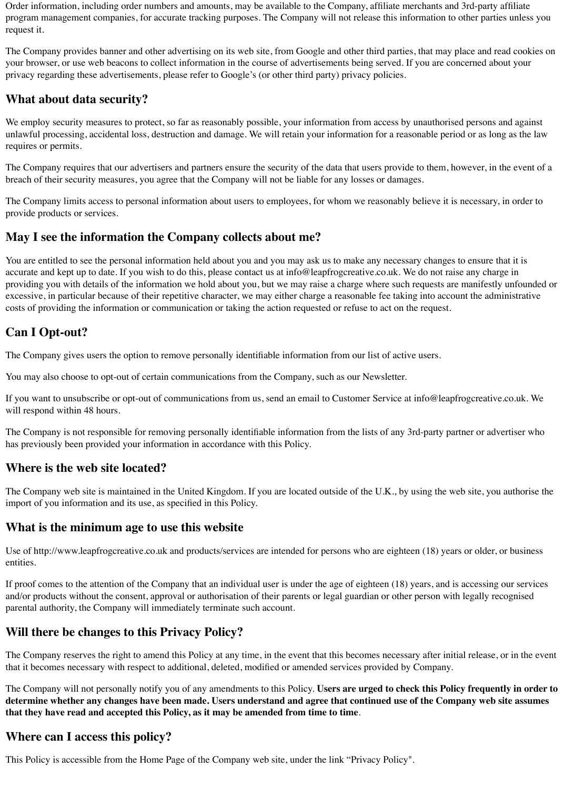Order information, including order numbers and amounts, may be available to the Company, affiliate merchants and 3rd-party affiliate program management companies, for accurate tracking purposes. The Company will not release this information to other parties unless you request it.

The Company provides banner and other advertising on its web site, from Google and other third parties, that may place and read cookies on your browser, or use web beacons to collect information in the course of advertisements being served. If you are concerned about your privacy regarding these advertisements, please refer to Google's (or other third party) privacy policies.

We employ security measures to protect, so far as reasonably possible, your information from access by unauthorised persons and against unlawful processing, accidental loss, destruction and damage. We will retain your information for a reasonable period or as long as the law requires or permits.

#### **What about data security?**

The Company requires that our advertisers and partners ensure the security of the data that users provide to them, however, in the event of a breach of their security measures, you agree that the Company will not be liable for any losses or damages.

If you want to unsubscribe or opt-out of communications from us, send an email to Customer Service at info@leapfrogcreative.co.uk. We will respond within 48 hours.

The Company limits access to personal information about users to employees, for whom we reasonably believe it is necessary, in order to provide products or services.

#### **May I see the information the Company collects about me?**

You are entitled to see the personal information held about you and you may ask us to make any necessary changes to ensure that it is accurate and kept up to date. If you wish to do this, please contact us at info@leapfrogcreative.co.uk. We do not raise any charge in providing you with details of the information we hold about you, but we may raise a charge where such requests are manifestly unfounded or excessive, in particular because of their repetitive character, we may either charge a reasonable fee taking into account the administrative costs of providing the information or communication or taking the action requested or refuse to act on the request.

# **Can I Opt-out?**

The Company gives users the option to remove personally identifiable information from our list of active users.

You may also choose to opt-out of certain communications from the Company, such as our Newsletter.

The Company is not responsible for removing personally identifiable information from the lists of any 3rd-party partner or advertiser who has previously been provided your information in accordance with this Policy.

#### **Where is the web site located?**

The Company web site is maintained in the United Kingdom. If you are located outside of the U.K., by using the web site, you authorise the import of you information and its use, as specified in this Policy.

#### **What is the minimum age to use this website**

Use of http://www.leapfrogcreative.co.uk and products/services are intended for persons who are eighteen (18) years or older, or business entities.

If proof comes to the attention of the Company that an individual user is under the age of eighteen (18) years, and is accessing our services and/or products without the consent, approval or authorisation of their parents or legal guardian or other person with legally recognised parental authority, the Company will immediately terminate such account.

## **Will there be changes to this Privacy Policy?**

The Company reserves the right to amend this Policy at any time, in the event that this becomes necessary after initial release, or in the event that it becomes necessary with respect to additional, deleted, modified or amended services provided by Company.

The Company will not personally notify you of any amendments to this Policy. **Users are urged to check this Policy frequently in order to determine whether any changes have been made. Users understand and agree that continued use of the Company web site assumes that they have read and accepted this Policy, as it may be amended from time to time**.

#### **Where can I access this policy?**

This Policy is accessible from the Home Page of the Company web site, under the link "Privacy Policy".